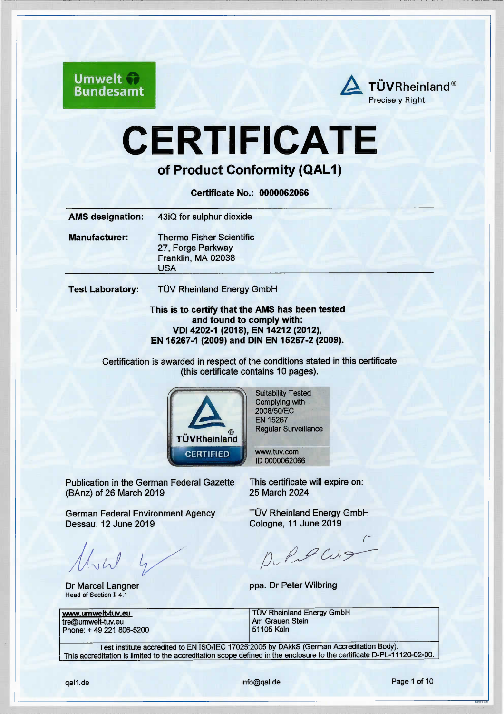**Umwelt Bundesamt** 



# CERTIFICATE

of Product Conformity (QAL1)

Ceriificate No.: 0000062066

| <b>AMS designation:</b> | 43iQ for sulphur dioxide                                                          |
|-------------------------|-----------------------------------------------------------------------------------|
| <b>Manufacturer:</b>    | <b>Thermo Fisher Scientific</b><br>27, Forge Parkway<br>Franklin, MA 02038<br>USA |
| <b>Test Laboratory:</b> | TÜV Rheinland Energy GmbH                                                         |

This is to certify that the AMS has been tested and found to comply with: VDl 4202-1 (2018), EN 14212 (2012), EN 15267-1 (2009) and DIN EN 15267-2 (2009).

Certffication is awarded in respect of the conditions stated in this certfficate (this cerifficate contains 10 pages).



Suitabiliv Tested Complying with 2008/50/EC EN 15267 Regular Surveillance

vww.tuv.com lD 0000062066

Publication in the German Federal Gazette (BAnz) of 26 March 2019

German Federal Environment Agency Dessau, 12 June 2019

 $U$ 

Dr Marcel Langner Head of Section II 4.1

tre@umwelt-tuv.eu Phone: + 49 221 806-5200

This certificate will expire on: 25 March 2024

TÜV Rheinland Energy GmbH Cologne,11 June 2019

 $PLPCU_7$ 

ppa. Dr Peter Wilbring

www.umwelt-tuv.eu TÜV Rheinland Energy GmbH<br>
tre@umwelt-tuv.eu Am Grauen Stein

Test institute accredited to EN ISO/lEC 17025:2005 by DAkks (Geman Accreditation Body). This accreditation is limited to the accreditation scope defined in the enclosure to the ceriificate D-PL-11120-02-00.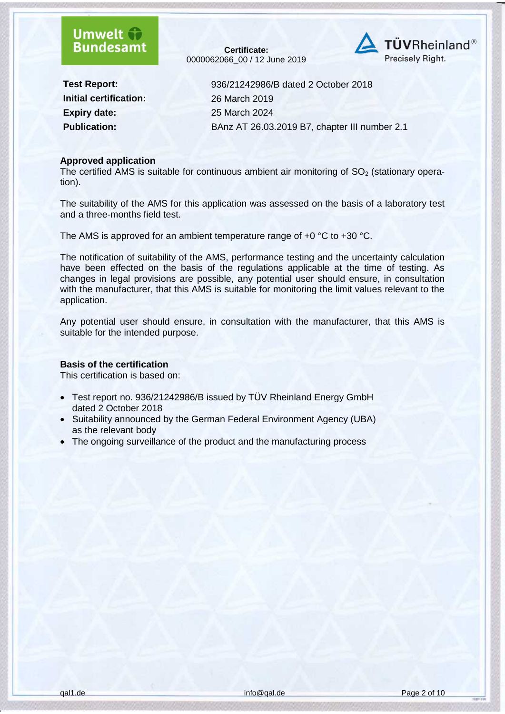### **Umwelt Bundesamt**

**Certificate:** 0000062066\_00 / 12 June 2019



**Initial certification:** 26 March 2019 **Expiry date:** 25 March 2024

**Test Report:** 936/21242986/B dated 2 October 2018 **Publication:** BAnz AT 26.03.2019 B7, chapter III number 2.1

#### **Approved application**

The certified AMS is suitable for continuous ambient air monitoring of  $SO<sub>2</sub>$  (stationary operation).

The suitability of the AMS for this application was assessed on the basis of a laboratory test and a three-months field test.

The AMS is approved for an ambient temperature range of +0 °C to +30 °C.

The notification of suitability of the AMS, performance testing and the uncertainty calculation have been effected on the basis of the regulations applicable at the time of testing. As changes in legal provisions are possible, any potential user should ensure, in consultation with the manufacturer, that this AMS is suitable for monitoring the limit values relevant to the application.

Any potential user should ensure, in consultation with the manufacturer, that this AMS is suitable for the intended purpose.

#### **Basis of the certification**

This certification is based on:

- Test report no. 936/21242986/B issued by TÜV Rheinland Energy GmbH dated 2 October 2018
- Suitability announced by the German Federal Environment Agency (UBA) as the relevant body
- The ongoing surveillance of the product and the manufacturing process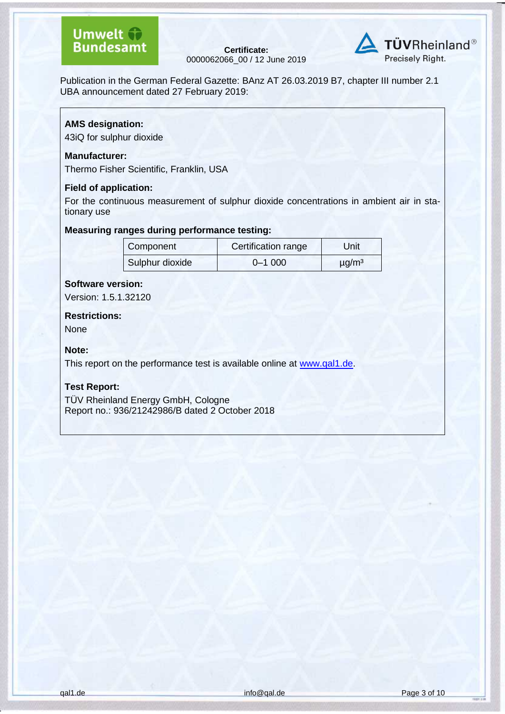**Certificate:** 0000062066\_00 / 12 June 2019



Publication in the German Federal Gazette: BAnz AT 26.03.2019 B7, chapter III number 2.1 UBA announcement dated 27 February 2019:

#### **AMS designation:**

43iQ for sulphur dioxide

#### **Manufacturer:**

Thermo Fisher Scientific, Franklin, USA

#### **Field of application:**

For the continuous measurement of sulphur dioxide concentrations in ambient air in stationary use

#### **Measuring ranges during performance testing:**

| Component       | Certification range | Unit                   |
|-----------------|---------------------|------------------------|
| Sulphur dioxide | $0 - 1000$          | $\mu$ g/m <sup>3</sup> |

#### **Software version:**

Version: 1.5.1.32120

### **Restrictions:**

None

#### **Note:**

This report on the performance test is available online at [www.qal1.de.](http://www.qal1.de/)

#### **Test Report:**

TÜV Rheinland Energy GmbH, Cologne Report no.: 936/21242986/B dated 2 October 2018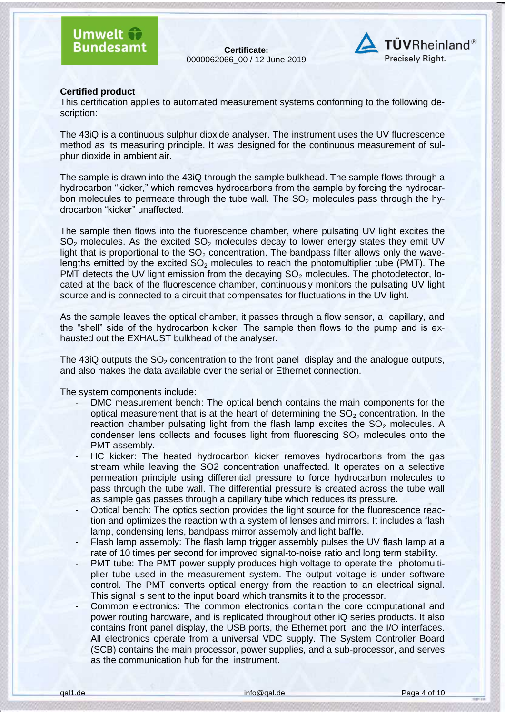**Certificate:** 0000062066\_00 / 12 June 2019



#### **Certified product**

This certification applies to automated measurement systems conforming to the following description:

The 43iQ is a continuous sulphur dioxide analyser. The instrument uses the UV fluorescence method as its measuring principle. It was designed for the continuous measurement of sulphur dioxide in ambient air.

The sample is drawn into the 43iQ through the sample bulkhead. The sample flows through a hydrocarbon "kicker," which removes hydrocarbons from the sample by forcing the hydrocarbon molecules to permeate through the tube wall. The  $SO<sub>2</sub>$  molecules pass through the hydrocarbon "kicker" unaffected.

The sample then flows into the fluorescence chamber, where pulsating UV light excites the  $SO<sub>2</sub>$  molecules. As the excited  $SO<sub>2</sub>$  molecules decay to lower energy states they emit UV light that is proportional to the  $SO<sub>2</sub>$  concentration. The bandpass filter allows only the wavelengths emitted by the excited  $SO<sub>2</sub>$  molecules to reach the photomultiplier tube (PMT). The PMT detects the UV light emission from the decaying  $SO<sub>2</sub>$  molecules. The photodetector, located at the back of the fluorescence chamber, continuously monitors the pulsating UV light source and is connected to a circuit that compensates for fluctuations in the UV light.

As the sample leaves the optical chamber, it passes through a flow sensor, a capillary, and the "shell" side of the hydrocarbon kicker. The sample then flows to the pump and is exhausted out the EXHAUST bulkhead of the analyser.

The 43iQ outputs the  $SO<sub>2</sub>$  concentration to the front panel display and the analogue outputs, and also makes the data available over the serial or Ethernet connection.

The system components include:

- DMC measurement bench: The optical bench contains the main components for the optical measurement that is at the heart of determining the  $SO<sub>2</sub>$  concentration. In the reaction chamber pulsating light from the flash lamp excites the  $SO<sub>2</sub>$  molecules. A condenser lens collects and focuses light from fluorescing  $SO<sub>2</sub>$  molecules onto the PMT assembly.
- HC kicker: The heated hydrocarbon kicker removes hydrocarbons from the gas stream while leaving the SO2 concentration unaffected. It operates on a selective permeation principle using differential pressure to force hydrocarbon molecules to pass through the tube wall. The differential pressure is created across the tube wall as sample gas passes through a capillary tube which reduces its pressure.
- Optical bench: The optics section provides the light source for the fluorescence reaction and optimizes the reaction with a system of lenses and mirrors. It includes a flash lamp, condensing lens, bandpass mirror assembly and light baffle.
- Flash lamp assembly: The flash lamp trigger assembly pulses the UV flash lamp at a rate of 10 times per second for improved signal-to-noise ratio and long term stability.
- PMT tube: The PMT power supply produces high voltage to operate the photomultiplier tube used in the measurement system. The output voltage is under software control. The PMT converts optical energy from the reaction to an electrical signal. This signal is sent to the input board which transmits it to the processor.
- Common electronics: The common electronics contain the core computational and power routing hardware, and is replicated throughout other iQ series products. It also contains front panel display, the USB ports, the Ethernet port, and the I/O interfaces. All electronics operate from a universal VDC supply. The System Controller Board (SCB) contains the main processor, power supplies, and a sub-processor, and serves as the communication hub for the instrument.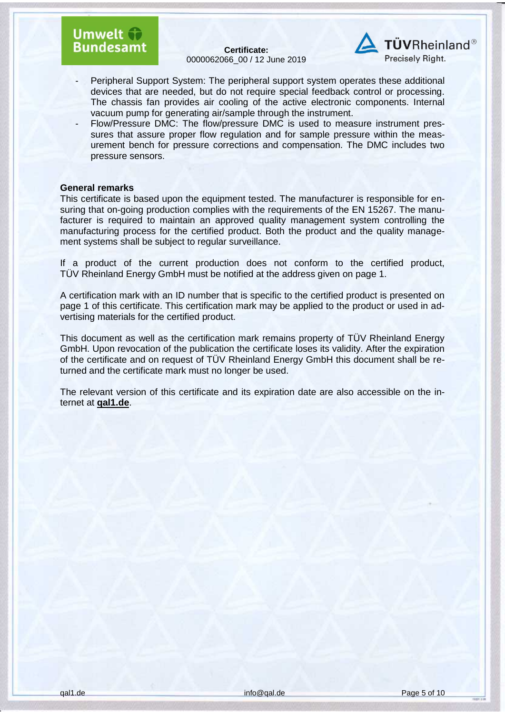### Umwelt fr **Bundesamt**

**Certificate:** 0000062066\_00 / 12 June 2019



- Peripheral Support System: The peripheral support system operates these additional devices that are needed, but do not require special feedback control or processing. The chassis fan provides air cooling of the active electronic components. Internal vacuum pump for generating air/sample through the instrument.
- Flow/Pressure DMC: The flow/pressure DMC is used to measure instrument pressures that assure proper flow regulation and for sample pressure within the measurement bench for pressure corrections and compensation. The DMC includes two pressure sensors.

#### **General remarks**

This certificate is based upon the equipment tested. The manufacturer is responsible for ensuring that on-going production complies with the requirements of the EN 15267. The manufacturer is required to maintain an approved quality management system controlling the manufacturing process for the certified product. Both the product and the quality management systems shall be subject to regular surveillance.

If a product of the current production does not conform to the certified product, TÜV Rheinland Energy GmbH must be notified at the address given on page 1.

A certification mark with an ID number that is specific to the certified product is presented on page 1 of this certificate. This certification mark may be applied to the product or used in advertising materials for the certified product.

This document as well as the certification mark remains property of TÜV Rheinland Energy GmbH. Upon revocation of the publication the certificate loses its validity. After the expiration of the certificate and on request of TÜV Rheinland Energy GmbH this document shall be returned and the certificate mark must no longer be used.

The relevant version of this certificate and its expiration date are also accessible on the internet at **qal1.de**.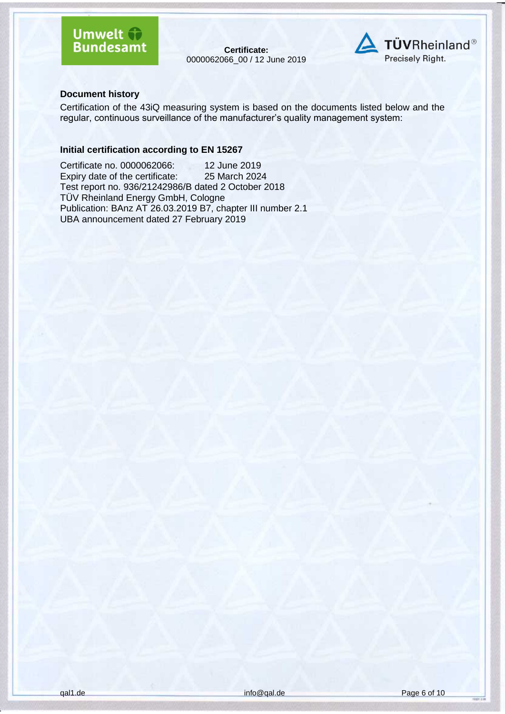### **Umwelt & Bundesamt**

**Certificate:** 0000062066\_00 / 12 June 2019



#### **Document history**

Certification of the 43iQ measuring system is based on the documents listed below and the regular, continuous surveillance of the manufacturer's quality management system:

#### **Initial certification according to EN 15267**

Certificate no. 0000062066: 12 June 2019<br>Expiry date of the certificate: 25 March 2024 Expiry date of the certificate: Test report no. 936/21242986/B dated 2 October 2018 TÜV Rheinland Energy GmbH, Cologne Publication: BAnz AT 26.03.2019 B7, chapter III number 2.1 UBA announcement dated 27 February 2019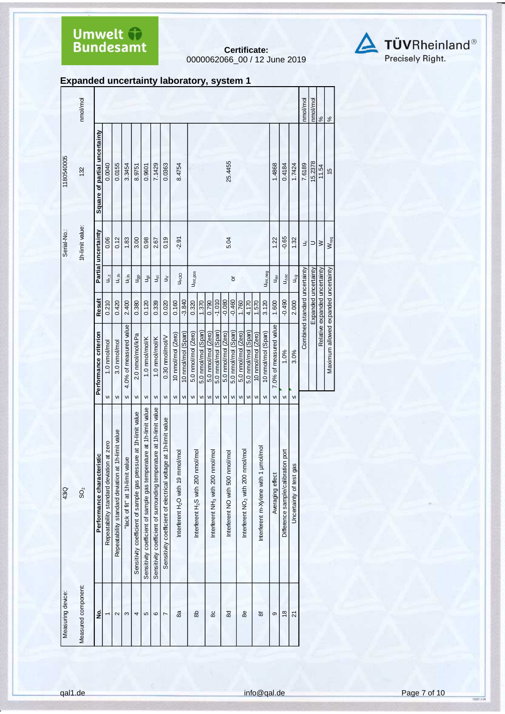**Certificate:** 0000062066\_00 / 12 June 2019



**Expanded uncertainty laboratory, system 1**

| 43iQ                                                                 |                                       |                               |                                       | Serial-No.:         | 1180540005                    |               |
|----------------------------------------------------------------------|---------------------------------------|-------------------------------|---------------------------------------|---------------------|-------------------------------|---------------|
| SO <sub>2</sub>                                                      |                                       |                               |                                       | 1h-limit value:     | 132                           | nmol/mol      |
|                                                                      |                                       |                               |                                       |                     |                               |               |
| istic<br>Performance character                                       | Performance criterion                 | <b>Result</b>                 |                                       | Partial uncertainty | Square of partial uncertainty |               |
| Repeatability standard deviation at zero                             | 1.0 nmol/mol<br>VI                    | 0.210                         | $U_{r, z}$                            | 0.06                | 0.0040                        |               |
| 1h-limit value<br>Repeatability standard deviation at                | 3.0 nmol/mol<br>VI                    | 0.420                         | $\mathsf{u}_{\mathsf{r},\mathsf{lh}}$ | 0.12                | 0.0155                        |               |
| "lack of fit" at 1h-limit value                                      | 4.0% of measured value<br>VI          | 2.400                         | ujih                                  | 1.83                | 3.3454                        |               |
| Sensitivity coefficient of sample gas pressure at 1h-limit value     | 2.0 nmol/mol/kPa<br>VI                | 0.380                         | u <sub>gp</sub>                       | 3.00                | 8.9751                        |               |
| Sensitivity coefficient of sample gas temperature at 1h-limit value  | 1.0 nmol/mol/K<br>$\mathsf{v}$        | 0.120                         | J <sub>gt</sub>                       | 0.98                | 0.9601                        |               |
| Sensitivity coefficient of surrounding temperature at 1h-limit value | 1.0 nmol/mol/K<br>VI                  | 0.339                         | $J_{\rm S}$ t                         | 2.67                | 7.1429                        |               |
| Sensitivity coefficient of electrical voltage at 1h-limit value      | 0.30 nmol/mol/V<br>$\mathsf{v}$       | 0.020                         | $\geq$                                | 0.19                | 0.0363                        |               |
| Interferent H <sub>2</sub> O with 19 mmol/mol                        | 10 nmol/mol (Zero)<br>$\mathsf{V}$    | 0.160                         |                                       | $-2.91$             | 8.4754                        |               |
|                                                                      | 10 nmol/mol (Span)<br>VI              | $-3.840$                      | <b>U<sub>H2</sub>O</b>                |                     |                               |               |
| Interferent H <sub>2</sub> S with 200 nmol/mol                       | 5.0 nmol/mol (Zero)<br>${\sf VI}$     | 0.320                         | Uint, pos                             |                     |                               |               |
|                                                                      | 5.0 nmol/mol (Span)<br>VI             | 1.370                         |                                       |                     |                               |               |
| Interferent NH <sub>3</sub> with 200 nmol/mol                        | 5.0 nmol/mol (Zero)<br>V <sub>1</sub> | 0.790                         |                                       |                     |                               |               |
|                                                                      | 5.0 nmol/mol (Span)<br>VI             | $-1.010$                      |                                       |                     |                               |               |
| Interferent NO with 500 nmol/mol                                     | 5.0 nmol/mol (Zero)<br>VI             | $-0.080$                      |                                       | 5.04                | 25.4455                       |               |
|                                                                      | 5.0 nmol/mol (Span)<br>VI             | $-0.460$                      | $\overline{\sigma}$                   |                     |                               |               |
| Interferent NO <sub>2</sub> with 200 nmol/mol                        | 5.0 nmol/mol (Zero)<br>VI             | 1.760                         |                                       |                     |                               |               |
|                                                                      | 5.0 nmol/mol (Span)<br>VI             | 4.170                         |                                       |                     |                               |               |
|                                                                      | 10 nmol/mol (Zero)<br>VI              | 1.570                         |                                       |                     |                               |               |
| Interferent m-Xylene with 1 umol/mol                                 | 10 nmol/mol (Span)<br>VI              | 3.120                         | U <sub>int, neg</sub>                 |                     |                               |               |
| Averaging effect                                                     | 7.0% of measured value<br>VI          | 1.600                         | $u_{\rm av}$                          | 1.22                | 1.4868                        |               |
| Difference sample/calibration port                                   | 1.0%<br>VI                            | $-0.490$                      | $U_{\Delta SC}$                       | $-0.65$             | 0.4184                        |               |
| Uncertainty of test gas                                              | 3.0%<br>VI                            | 2.000                         | $U_{cg}$                              | 1.32                | 1.7424                        |               |
|                                                                      |                                       | Combined standard uncertainty |                                       | $\exists$           | 7.6189                        | nmol/mol      |
|                                                                      |                                       | Expanded uncertainty          |                                       | ⊃                   | 15.2378                       | nmol/mol      |
|                                                                      |                                       | Relative expanded uncertainty |                                       | $\geq$              | 11.54                         | $\frac{5}{6}$ |
|                                                                      | Maximum allowed expanded uncertainty  |                               |                                       | W <sub>req</sub>    | $\frac{15}{2}$                | $\frac{5}{6}$ |
|                                                                      |                                       |                               |                                       |                     |                               |               |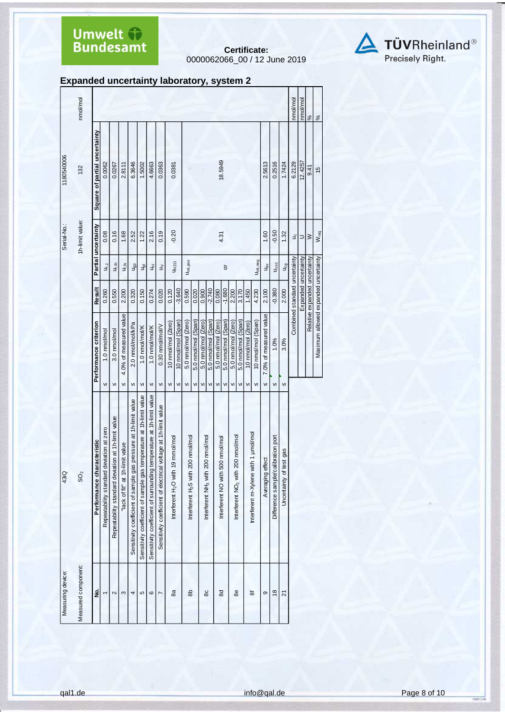**Certificate:** 0000062066\_00 / 12 June 2019



|  | Expanded uncertainty laboratory, system 2 |  |
|--|-------------------------------------------|--|
|  |                                           |  |

|                   | nmol/mol            |                               |                                          |                                                    |                                 |                                                                  |                                                                     |                                                                      |                                                                    |                                               |                    |                                                |                     |                                               |                     |                                  |                     |                                               |                     |                    |                                      |                                             |                                    |                         | nmol/mol                      | nmol/mol             | $\frac{8}{6}$                 | $\frac{5}{6}$                        |
|-------------------|---------------------|-------------------------------|------------------------------------------|----------------------------------------------------|---------------------------------|------------------------------------------------------------------|---------------------------------------------------------------------|----------------------------------------------------------------------|--------------------------------------------------------------------|-----------------------------------------------|--------------------|------------------------------------------------|---------------------|-----------------------------------------------|---------------------|----------------------------------|---------------------|-----------------------------------------------|---------------------|--------------------|--------------------------------------|---------------------------------------------|------------------------------------|-------------------------|-------------------------------|----------------------|-------------------------------|--------------------------------------|
| 1180540006        | 132                 | Square of partial uncertainty | 0.0062                                   | 0.0267                                             | 2.8111                          | 6.3646                                                           | 1.5002                                                              | 4.6663                                                               | 0.0363                                                             | 0.0381                                        |                    |                                                |                     |                                               |                     | 18.5949                          |                     |                                               |                     |                    |                                      | 2.5613                                      | 0.2516                             | 1.7424                  | 6.2129                        | 12.4257              | 9.41                          | $\frac{15}{2}$                       |
| Serial-No.:       | 1h-limit value:     | Partial uncertainty           | 0.08                                     | 0.16                                               | 1.68                            | 2.52                                                             | 1.22                                                                | 2.16                                                                 | 0.19                                                               | $-0.20$                                       |                    |                                                |                     |                                               |                     | 4.31                             |                     |                                               |                     |                    |                                      | 1.60                                        | $-0.50$                            | 1.32                    | ₹                             | ⊃                    | $\geq$                        | W <sub>req</sub>                     |
|                   |                     |                               | $u_{r,z}$                                | u,in                                               | $\frac{1}{2}$                   | J <sub>gp</sub>                                                  | ğ                                                                   | Jșt                                                                  | $\gtrsim$                                                          |                                               | <b>UH2O</b>        | U <sub>int,pos</sub>                           |                     |                                               |                     |                                  | ŏ                   |                                               |                     |                    | Uint, neg                            | $\mathsf{u}_{\mathsf{B}\check{\mathsf{v}}}$ | $U_{\Delta SC}$                    | J <sub>cg</sub>         |                               |                      |                               |                                      |
|                   |                     | Result                        | 0.260                                    | 0.550                                              | 2.200                           | 0.320                                                            | 0.150                                                               | 0.274                                                                | 0.020                                                              | 0.120                                         | $-3.640$           | 0.590                                          | 0.020               | 0.900                                         | $-2.740$            | 0.080                            | $-1.680$            | 2.200                                         | 3.170               | 1.450              | 4.230                                | 2.100                                       | $-0.380$                           | 2.000                   | Combined standard uncertainty | Expanded uncertainty | Relative expanded uncertainty |                                      |
|                   |                     | Performance criterion         | 1.0 nmol/mol                             | 3.0 nmol/mol                                       | 4.0% of measured value          | 2.0 nmol/mol/kPa                                                 | 1.0 nmol/mol/K                                                      | 1.0 nmol/mol/K                                                       | 0.30 nmol/mol/V                                                    | 10 nmol/mol (Zero)                            | 10 nmol/mol (Span) | 5.0 nmol/mol (Zero)                            | 5.0 nmol/mol (Span) | 5.0 nmol/mol (Zero)                           | 5.0 nmol/mol (Span) | 5.0 nmal/mol (Zero)              | 5.0 nmol/mol (Span) | 5.0 nmol/mol (Zero)                           | 5.0 nmol/mol (Span) | 10 nmol/mol (Zero) | 10 nmol/mol (Span)                   | 7.0% of measured value                      | 1.0%                               | 3.0%                    |                               |                      |                               | Maximum allowed expanded uncertainty |
|                   |                     |                               | $\mathsf{v}$                             | $\mathsf{VI}$                                      | VI                              | VI                                                               | ${\sf VI}$                                                          | VI                                                                   | ${\sf VI}$                                                         | $\mathsf{VI}$                                 | VI                 | $\mathsf{v}\mathsf{I}$                         | VI                  | $\mathsf{v}\mathsf{I}$                        | ${\sf VI}$          | $\mathsf{V}$                     | VI                  | VI                                            | VI                  | VI                 | $\mathsf{v}$                         | VI                                          | VI                                 | $\mathsf{v}$            |                               |                      |                               |                                      |
| 43iQ              | SO <sub>2</sub>     | Performance characteristic    | Repeatability standard deviation at zero | Repeatability standard deviation at 1h-limit value | "lack of fit" at 1h-limit value | Sensitivity coefficient of sample gas pressure at 1h-limit value | Sensitivity coefficient of sample gas temperature at 1h-limit value | Sensitivity coefficient of surrounding temperature at 1h-limit value | voltage at 1h-limit value<br>Sensitivity coefficient of electrical | Interferent H <sub>2</sub> O with 19 mmol/mol |                    | Interferent H <sub>2</sub> S with 200 nmol/mol |                     | Interferent NH <sub>3</sub> with 200 nmol/mol |                     | Interferent NO with 500 nmol/mol |                     | Interferent NO <sub>2</sub> with 200 nmol/mol |                     |                    | Interferent m-Xylene with 1 umol/mol | Averaging effect                            | Difference sample/calibration port | Uncertainty of test gas |                               |                      |                               |                                      |
| Measuring device: | Measured component: | ş                             |                                          | 2                                                  | S                               | 4                                                                | 5                                                                   | $\circ$                                                              | L                                                                  | 8a                                            |                    | கி                                             |                     | 86                                            |                     | 8                                |                     | 88                                            |                     | ಹ                  |                                      | ၜ                                           | $\frac{8}{2}$                      | Z                       |                               |                      |                               |                                      |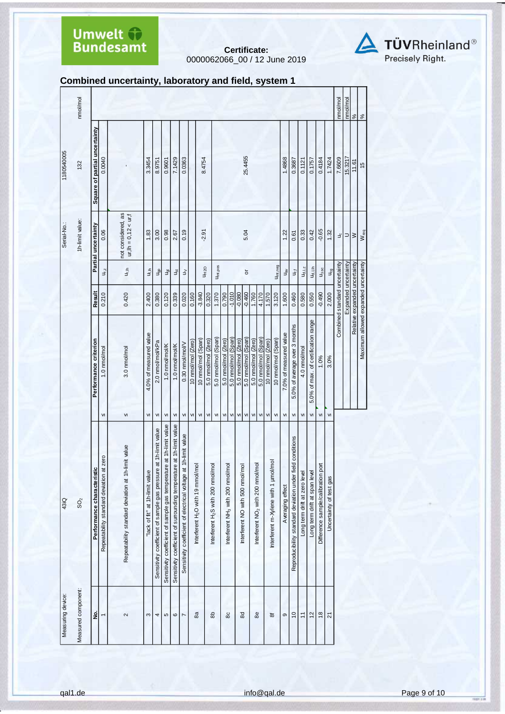**Certificate:** 0000062066\_00 / 12 June 2019



#### **Combined uncertainty, laboratory and field, system 1**

| Measuring device:   | 43iQ                                                                 |               |                                      |                               |                                  | Serial-No.:                                    | 1180540005                    |                                |
|---------------------|----------------------------------------------------------------------|---------------|--------------------------------------|-------------------------------|----------------------------------|------------------------------------------------|-------------------------------|--------------------------------|
| Measured component: | SO <sub>2</sub>                                                      |               |                                      |                               |                                  | 1h-limit value:                                | 132                           | nmol/mol                       |
| 2.                  | Performance characteristic                                           |               | Performance criterion                | Result                        |                                  | Partial uncertainty                            | Square of partial uncertainty |                                |
| $\overline{ }$      | Repeatability standard deviation at zero                             | VI            | 1.0 nmol/mol                         | 0.210                         | $U_{r,z}$                        | 0.06                                           | 0.0040                        |                                |
| $\sim$              | Repeatability standard deviation at 1h-limit value                   | VI            | 3.0 nmol/mol                         | 0.420                         | u <sub>r,ih</sub>                | not considered, as<br>$ur, lh = 0, 12 < ur, f$ |                               |                                |
| S                   | lack of fit" at 1h-limit value                                       | $\mathsf{V}$  | 4.0% of measured value               | 2.400                         | u <sub>li</sub> n                | 1.83                                           | 3.3454                        |                                |
| 4                   | at 1h-limit value<br>Sensitivity coefficient of sample gas pressure  | VI            | 2.0 nmol/mol/kPa                     | 0.380                         | <b>u<sub>gp</sub></b>            | 3.00                                           | 8.9751                        |                                |
| 5                   | Sensitivity coefficient of sample gas temperature at 1h-limit value  | VI            | 1.0 nmol/mol/K                       | 0.120                         | ್ರಕ್<br>ರ                        | 0.98                                           | 0.9601                        |                                |
| $\circ$             | Sensitivity coefficient of surrounding temperature at 1h-limit value | VI            | 1.0 nmol/mol/K                       | 0.339                         | Jst                              | 2.67                                           | 7.1429                        |                                |
| $\overline{ }$      | Sensitivity coefficient of electrical voltage at 1h-limit value      | ${\sf VI}$    | 0.30 nmol/mol/V                      | 0.020                         | ξ                                | 0.19                                           | 0.0363                        |                                |
|                     |                                                                      | ${\sf VI}$    | 10 nmol/mol (Zero)                   | 0.160                         |                                  |                                                |                               |                                |
| æ                   | Interferent H <sub>2</sub> O with 19 mmol/mol                        | ${\sf VI}$    | 10 nmol/mol (Span)                   | $-3.840$                      | U <sub>H2O</sub>                 | $-2.91$                                        | 8.4754                        |                                |
|                     |                                                                      | VI            | 5.0 nmol/mol (Zero)                  | 0.320                         |                                  |                                                |                               |                                |
| கி                  | Interferent H <sub>2</sub> S with 200 nmol/mol                       | VI            | 5.0 nmol/mol (Span)                  | 1.370                         | U <sub>int, pos</sub>            |                                                |                               |                                |
|                     |                                                                      | VI            | 5.0 nmol/mol (Zero)                  | 0.790                         |                                  |                                                |                               |                                |
| 80                  | Interferent NH <sub>3</sub> with 200 nmol/mol                        | VI            | 5.0 nmol/mol (Span)                  | $-1.010$                      |                                  |                                                |                               |                                |
|                     |                                                                      | VI            | 5.0 nmol/mol (Zero)                  | $-0.080$                      |                                  |                                                |                               |                                |
| $8o$                | Interferent NO with 500 nmol/mol                                     | $\mathsf{VI}$ | 5.0 nmol/mol (Span)                  | $-0.460$                      | ৯                                | 5.04                                           | 25.4455                       |                                |
| æ                   |                                                                      | VI            | 5.0 nmol/mol (Zero)                  | 1.760                         |                                  |                                                |                               |                                |
|                     | Interferent NO <sub>2</sub> with 200 nmol/mol                        | ${\sf VI}$    | 5.0 nmol/mol (Span)                  | 4.170                         |                                  |                                                |                               |                                |
|                     |                                                                      | VI            | 10 nmol/mol (Zero)                   | 1.570                         |                                  |                                                |                               |                                |
| 8f                  | pa<br>nterferent m-Xylene with 1 umol/r                              | VI            | 10 nmol/mol (Span)                   | 3.120                         | Uint, neg                        |                                                |                               |                                |
| တ                   | Averaging effect                                                     | VI            | 7.0% of measured value               | 1.600                         | $u_{\rm av}$                     | 1.22                                           | 1.4868                        |                                |
| $\overline{c}$      | Reproducibility standard deviation under field conditions            | ${\sf VI}$    | 5.0% of average over 3 months        | 0.460                         | J,                               | 0.61                                           | 0.3687                        |                                |
| $\overline{1}$      | Long term drift at zero level                                        | $\mathsf{v}$  | 4.0 nmol/mol                         | 0.580                         | $u_{d, l, z}$                    | 0.33                                           | 0.1121                        |                                |
| 12                  | Long term drift at span level                                        | VI            | 5.0% of max. of certification range  | 0.550                         | Ud.I.Ih                          | 0.42                                           | 0.1757                        |                                |
| $\frac{8}{2}$       | Difference sample/calibration port                                   | VI            | 1.0%                                 | -0.490                        | $\mathsf{u}_{\Delta\mathsf{sc}}$ | $-0.65$                                        | 0.4184                        |                                |
| $\overline{2}$      | Uncertainty of test gas                                              | $\mathsf{v}$  | 3.0%                                 | 2.000                         | $U_{cg}$                         | 1.32                                           | 1.7424                        |                                |
|                     |                                                                      |               |                                      | Combined standard uncertainty |                                  | ٩                                              | 7.6609                        | nmol/mol                       |
|                     |                                                                      |               |                                      | Expanded uncertainty          |                                  | ⊃∣≥                                            | 15.3217                       |                                |
|                     |                                                                      |               |                                      | Relative expanded uncertainty |                                  |                                                | 11.61                         | $\frac{1 \text{nmol/mol}}{\%}$ |
|                     |                                                                      |               | Maximum allowed expanded uncertainty |                               |                                  | W <sub>req</sub>                               | $\frac{1}{2}$                 | %                              |
|                     |                                                                      |               |                                      |                               |                                  |                                                |                               |                                |